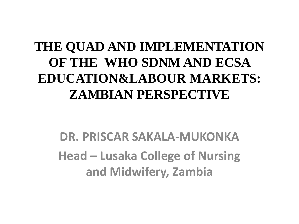### **THE QUAD AND IMPLEMENTATION OF THE WHO SDNM AND ECSA EDUCATION&LABOUR MARKETS: ZAMBIAN PERSPECTIVE**

**DR. PRISCAR SAKALA-MUKONKA Head – Lusaka College of Nursing and Midwifery, Zambia**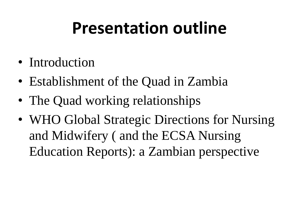### **Presentation outline**

- Introduction
- Establishment of the Quad in Zambia
- The Quad working relationships
- WHO Global Strategic Directions for Nursing and Midwifery ( and the ECSA Nursing Education Reports): a Zambian perspective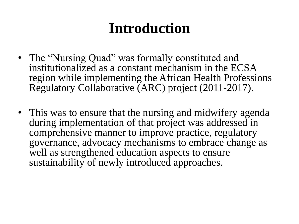### **Introduction**

- The "Nursing Quad" was formally constituted and institutionalized as a constant mechanism in the ECSA region while implementing the African Health Professions Regulatory Collaborative (ARC) project (2011-2017).
- This was to ensure that the nursing and midwifery agenda during implementation of that project was addressed in comprehensive manner to improve practice, regulatory governance, advocacy mechanisms to embrace change as well as strengthened education aspects to ensure sustainability of newly introduced approaches.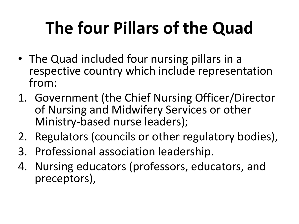# **The four Pillars of the Quad**

- The Quad included four nursing pillars in a respective country which include representation from:
- 1. Government (the Chief Nursing Officer/Director of Nursing and Midwifery Services or other Ministry-based nurse leaders);
- 2. Regulators (councils or other regulatory bodies),
- 3. Professional association leadership.
- 4. Nursing educators (professors, educators, and preceptors),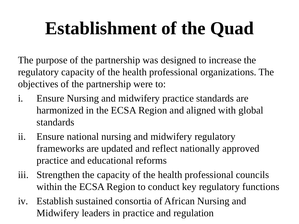# **Establishment of the Quad**

The purpose of the partnership was designed to increase the regulatory capacity of the health professional organizations. The objectives of the partnership were to:

- i. Ensure Nursing and midwifery practice standards are harmonized in the ECSA Region and aligned with global standards
- ii. Ensure national nursing and midwifery regulatory frameworks are updated and reflect nationally approved practice and educational reforms
- iii. Strengthen the capacity of the health professional councils within the ECSA Region to conduct key regulatory functions
- iv. Establish sustained consortia of African Nursing and Midwifery leaders in practice and regulation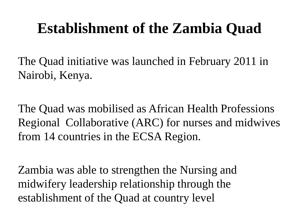### **Establishment of the Zambia Quad**

The Quad initiative was launched in February 2011 in Nairobi, Kenya.

The Quad was mobilised as African Health Professions Regional Collaborative (ARC) for nurses and midwives from 14 countries in the ECSA Region.

Zambia was able to strengthen the Nursing and midwifery leadership relationship through the establishment of the Quad at country level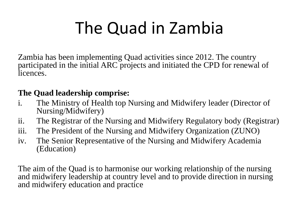# The Quad in Zambia

Zambia has been implementing Quad activities since 2012. The country participated in the initial ARC projects and initiated the CPD for renewal of licences.

#### **The Quad leadership comprise:**

- i. The Ministry of Health top Nursing and Midwifery leader (Director of Nursing/Midwifery)
- ii. The Registrar of the Nursing and Midwifery Regulatory body (Registrar)
- iii. The President of the Nursing and Midwifery Organization (ZUNO)
- iv. The Senior Representative of the Nursing and Midwifery Academia (Education)

The aim of the Quad is to harmonise our working relationship of the nursing and midwifery leadership at country level and to provide direction in nursing and midwifery education and practice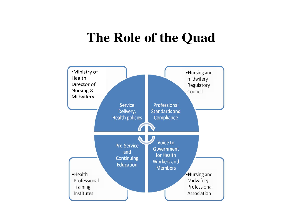#### The Role of the Quad

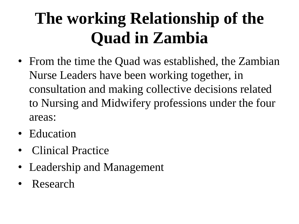## **The working Relationship of the Quad in Zambia**

- From the time the Quad was established, the Zambian Nurse Leaders have been working together, in consultation and making collective decisions related to Nursing and Midwifery professions under the four areas:
- Education
- Clinical Practice
- Leadership and Management
- Research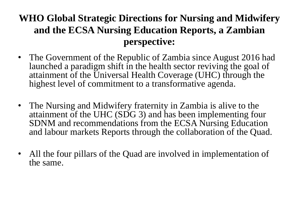#### **WHO Global Strategic Directions for Nursing and Midwifery and the ECSA Nursing Education Reports, a Zambian perspective:**

- The Government of the Republic of Zambia since August 2016 had launched a paradigm shift in the health sector reviving the goal of attainment of the Universal Health Coverage (UHC) through the highest level of commitment to a transformative agenda.
- The Nursing and Midwifery fraternity in Zambia is alive to the attainment of the UHC (SDG 3) and has been implementing four SDNM and recommendations from the ECSA Nursing Education and labour markets Reports through the collaboration of the Quad.
- All the four pillars of the Quad are involved in implementation of the same.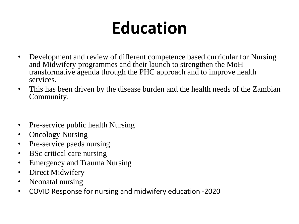# **Education**

- Development and review of different competence based curricular for Nursing and Midwifery programmes and their launch to strengthen the MoH transformative agenda through the PHC approach and to improve health services.
- This has been driven by the disease burden and the health needs of the Zambian Community.
- Pre-service public health Nursing
- Oncology Nursing
- Pre-service paeds nursing
- BSc critical care nursing
- Emergency and Trauma Nursing
- Direct Midwifery
- Neonatal nursing
- COVID Response for nursing and midwifery education -2020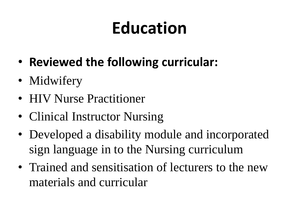# **Education**

- **Reviewed the following curricular:**
- Midwifery
- **HIV Nurse Practitioner**
- Clinical Instructor Nursing
- Developed a disability module and incorporated sign language in to the Nursing curriculum
- Trained and sensitisation of lecturers to the new materials and curricular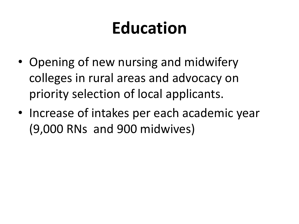## **Education**

- Opening of new nursing and midwifery colleges in rural areas and advocacy on priority selection of local applicants.
- Increase of intakes per each academic year (9,000 RNs and 900 midwives)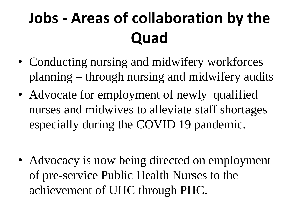## **Jobs - Areas of collaboration by the Quad**

- Conducting nursing and midwifery workforces planning – through nursing and midwifery audits
- Advocate for employment of newly qualified nurses and midwives to alleviate staff shortages especially during the COVID 19 pandemic.
- Advocacy is now being directed on employment of pre-service Public Health Nurses to the achievement of UHC through PHC.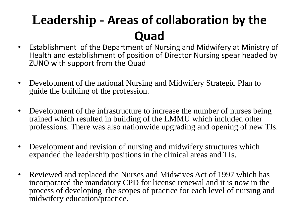### **Leadership - Areas of collaboration by the Quad**

- Establishment of the Department of Nursing and Midwifery at Ministry of Health and establishment of position of Director Nursing spear headed by ZUNO with support from the Quad
- Development of the national Nursing and Midwifery Strategic Plan to guide the building of the profession.
- Development of the infrastructure to increase the number of nurses being trained which resulted in building of the LMMU which included other professions. There was also nationwide upgrading and opening of new TIs.
- Development and revision of nursing and midwifery structures which expanded the leadership positions in the clinical areas and TIs.
- Reviewed and replaced the Nurses and Midwives Act of 1997 which has incorporated the mandatory CPD for license renewal and it is now in the process of developing the scopes of practice for each level of nursing and midwifery education/practice.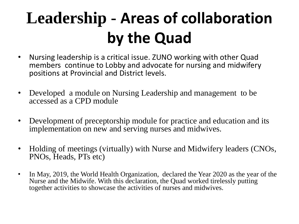### **Leadership - Areas of collaboration by the Quad**

- Nursing leadership is a critical issue. ZUNO working with other Quad members continue to Lobby and advocate for nursing and midwifery positions at Provincial and District levels.
- Developed a module on Nursing Leadership and management to be accessed as a CPD module
- Development of preceptorship module for practice and education and its implementation on new and serving nurses and midwives.
- Holding of meetings (virtually) with Nurse and Midwifery leaders (CNOs, PNOs, Heads, PTs etc)
- In May, 2019, the World Health Organization, declared the Year 2020 as the year of the Nurse and the Midwife. With this declaration, the Quad worked tirelessly putting together activities to showcase the activities of nurses and midwives.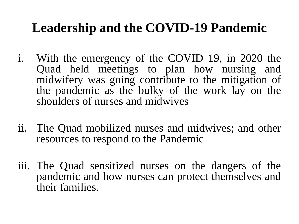### **Leadership and the COVID-19 Pandemic**

- i. With the emergency of the COVID 19, in 2020 the Quad held meetings to plan how nursing and midwifery was going contribute to the mitigation of the pandemic as the bulky of the work lay on the shoulders of nurses and midwives
- ii. The Quad mobilized nurses and midwives; and other resources to respond to the Pandemic
- iii. The Quad sensitized nurses on the dangers of the pandemic and how nurses can protect themselves and their families.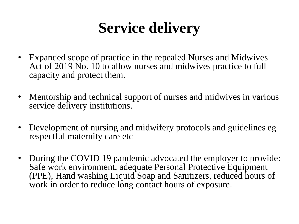### **Service delivery**

- Expanded scope of practice in the repealed Nurses and Midwives Act of 2019 No. 10 to allow nurses and midwives practice to full capacity and protect them.
- Mentorship and technical support of nurses and midwives in various service delivery institutions.
- Development of nursing and midwifery protocols and guidelines eg respectful maternity care etc
- During the COVID 19 pandemic advocated the employer to provide: Safe work environment, adequate Personal Protective Equipment (PPE), Hand washing Liquid Soap and Sanitizers, reduced hours of work in order to reduce long contact hours of exposure.